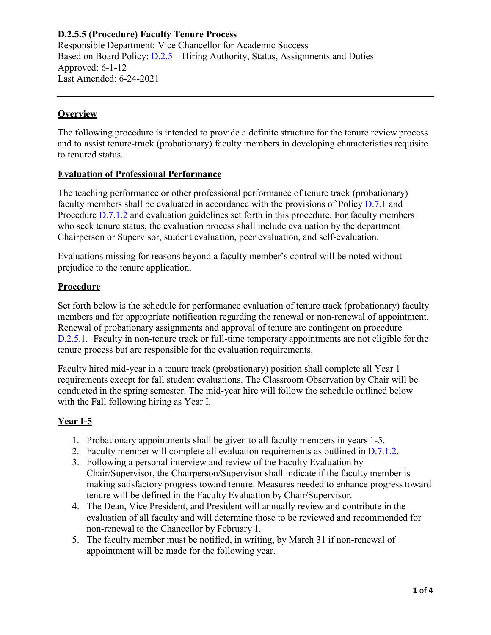Responsible Department: Vice Chancellor for Academic Success Based on Board Policy: [D.2.5 –](https://www.alamo.edu/siteassets/district/about-us/leadership/board-of-trustees/policies-pdfs/section-d/d.2.5-policy.pdf) Hiring Authority, Status, Assignments and Duties Approved: 6-1-12 Last Amended: 6-24-2021

## **Overview**

The following procedure is intended to provide a definite structure for the tenure review process and to assist tenure-track (probationary) faculty members in developing characteristics requisite to tenured status.

#### **Evaluation of Professional Performance**

The teaching performance or other professional performance of tenure track (probationary) faculty members shall be evaluated in accordance with the provisions of Policy [D.7.1 a](https://www.alamo.edu/siteassets/district/about-us/leadership/board-of-trustees/policies-pdfs/section-d/d.7.1-policy.pdf)nd Procedure [D.7.1.2 a](https://www.alamo.edu/siteassets/district/about-us/leadership/board-of-trustees/policies-pdfs/section-d/d.7.1.2-procedure1.pdf)nd evaluation guidelines set forth in this procedure. For faculty members who seek tenure status, the evaluation process shall include evaluation by the department Chairperson or Supervisor, student evaluation, peer evaluation, and self-evaluation.

Evaluations missing for reasons beyond a faculty member's control will be noted without prejudice to the tenure application.

#### **Procedure**

Set forth below is the schedule for performance evaluation of tenure track (probationary) faculty members and for appropriate notification regarding the renewal or non-renewal of appointment. Renewal of probationary assignments and approval of tenure are contingent on procedure D.2.5.1. Faculty in non-tenure track or full-time temporary appointments are not eligible for the tenure process but are responsible for the evaluation requirements.

Faculty hired mid-year in a tenure track (probationary) position shall complete all Year 1 requirements except for fall student evaluations. The Classroom Observation by Chair will be conducted in the spring semester. The mid-year hire will follow the schedule outlined below with the Fall following hiring as Year I.

#### **Year I-5**

- 1. Probationary appointments shall be given to all faculty members in years 1-5.
- 2. Faculty member will complete all evaluation requirements as outlined in [D.7.1.2.](https://www.alamo.edu/siteassets/district/about-us/leadership/board-of-trustees/policies-pdfs/section-d/d.7.1.2-procedure1.pdf)
- 3. Following a personal interview and review of the Faculty Evaluation by Chair/Supervisor, the Chairperson/Supervisor shall indicate if the faculty member is making satisfactory progress toward tenure. Measures needed to enhance progress toward tenure will be defined in the Faculty Evaluation by Chair/Supervisor.
- 4. The Dean, Vice President, and President will annually review and contribute in the evaluation of all faculty and will determine those to be reviewed and recommended for non-renewal to the Chancellor by February 1.
- 5. The faculty member must be notified, in writing, by March 31 if non-renewal of appointment will be made for the following year.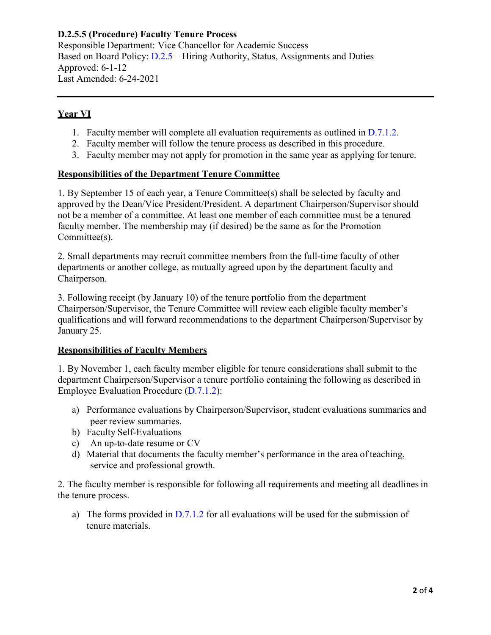Responsible Department: Vice Chancellor for Academic Success Based on Board Policy: [D.2.5 –](https://www.alamo.edu/siteassets/district/about-us/leadership/board-of-trustees/policies-pdfs/section-d/d.2.5-policy.pdf) Hiring Authority, Status, Assignments and Duties Approved: 6-1-12 Last Amended: 6-24-2021

## **Year VI**

- 1. Faculty member will complete all evaluation requirements as outlined in [D.7.1.2.](https://www.alamo.edu/siteassets/district/about-us/leadership/board-of-trustees/policies-pdfs/section-d/d.7.1.2-procedure1.pdf)
- 2. Faculty member will follow the tenure process as described in this procedure.
- 3. Faculty member may not apply for promotion in the same year as applying for tenure.

# **Responsibilities of the Department Tenure Committee**

1. By September 15 of each year, a Tenure Committee(s) shall be selected by faculty and approved by the Dean/Vice President/President. A department Chairperson/Supervisor should not be a member of a committee. At least one member of each committee must be a tenured faculty member. The membership may (if desired) be the same as for the Promotion Committee(s).

2. Small departments may recruit committee members from the full-time faculty of other departments or another college, as mutually agreed upon by the department faculty and Chairperson.

3. Following receipt (by January 10) of the tenure portfolio from the department Chairperson/Supervisor, the Tenure Committee will review each eligible faculty member's qualifications and will forward recommendations to the department Chairperson/Supervisor by January 25.

#### **Responsibilities of Faculty Members**

1. By November 1, each faculty member eligible for tenure considerations shall submit to the department Chairperson/Supervisor a tenure portfolio containing the following as described in Employee Evaluation Procedure [\(D.7.1.2\)](https://www.alamo.edu/siteassets/district/about-us/leadership/board-of-trustees/policies-pdfs/section-d/d.7.1.2-procedure1.pdf):

- a) Performance evaluations by Chairperson/Supervisor, student evaluations summaries and peer review summaries.
- b) Faculty Self-Evaluations
- c) An up-to-date resume or CV
- d) Material that documents the faculty member's performance in the area of teaching, service and professional growth.

2. The faculty member is responsible for following all requirements and meeting all deadlinesin the tenure process.

a) The forms provided in  $D.7.1.2$  for all evaluations will be used for the submission of tenure materials.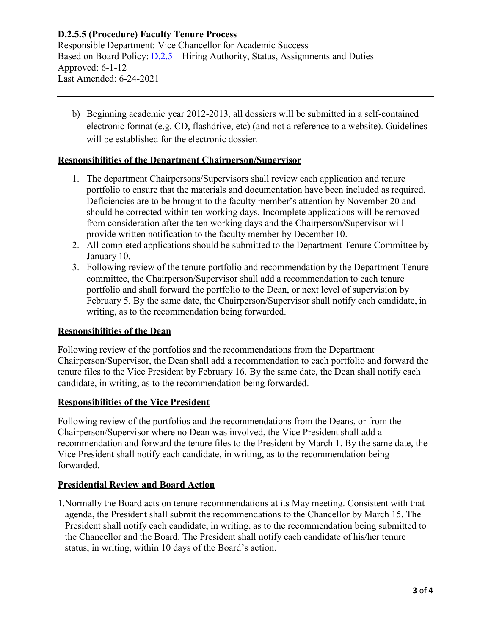Responsible Department: Vice Chancellor for Academic Success Based on Board Policy: [D.2.5 –](https://www.alamo.edu/siteassets/district/about-us/leadership/board-of-trustees/policies-pdfs/section-d/d.2.5-policy.pdf) Hiring Authority, Status, Assignments and Duties Approved: 6-1-12 Last Amended: 6-24-2021

b) Beginning academic year 2012-2013, all dossiers will be submitted in a self-contained electronic format (e.g. CD, flashdrive, etc) (and not a reference to a website). Guidelines will be established for the electronic dossier.

#### **Responsibilities of the Department Chairperson/Supervisor**

- 1. The department Chairpersons/Supervisors shall review each application and tenure portfolio to ensure that the materials and documentation have been included as required. Deficiencies are to be brought to the faculty member's attention by November 20 and should be corrected within ten working days. Incomplete applications will be removed from consideration after the ten working days and the Chairperson/Supervisor will provide written notification to the faculty member by December 10.
- 2. All completed applications should be submitted to the Department Tenure Committee by January 10.
- 3. Following review of the tenure portfolio and recommendation by the Department Tenure committee, the Chairperson/Supervisor shall add a recommendation to each tenure portfolio and shall forward the portfolio to the Dean, or next level of supervision by February 5. By the same date, the Chairperson/Supervisor shall notify each candidate, in writing, as to the recommendation being forwarded.

#### **Responsibilities of the Dean**

Following review of the portfolios and the recommendations from the Department Chairperson/Supervisor, the Dean shall add a recommendation to each portfolio and forward the tenure files to the Vice President by February 16. By the same date, the Dean shall notify each candidate, in writing, as to the recommendation being forwarded.

#### **Responsibilities of the Vice President**

Following review of the portfolios and the recommendations from the Deans, or from the Chairperson/Supervisor where no Dean was involved, the Vice President shall add a recommendation and forward the tenure files to the President by March 1. By the same date, the Vice President shall notify each candidate, in writing, as to the recommendation being forwarded.

#### **Presidential Review and Board Action**

1.Normally the Board acts on tenure recommendations at its May meeting. Consistent with that agenda, the President shall submit the recommendations to the Chancellor by March 15. The President shall notify each candidate, in writing, as to the recommendation being submitted to the Chancellor and the Board. The President shall notify each candidate of his/her tenure status, in writing, within 10 days of the Board's action.